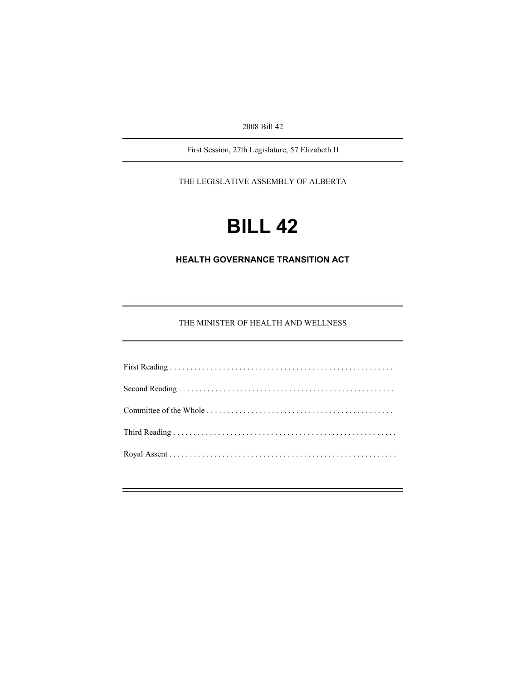2008 Bill 42

First Session, 27th Legislature, 57 Elizabeth II

THE LEGISLATIVE ASSEMBLY OF ALBERTA

# **BILL 42**

# **HEALTH GOVERNANCE TRANSITION ACT**

THE MINISTER OF HEALTH AND WELLNESS

÷.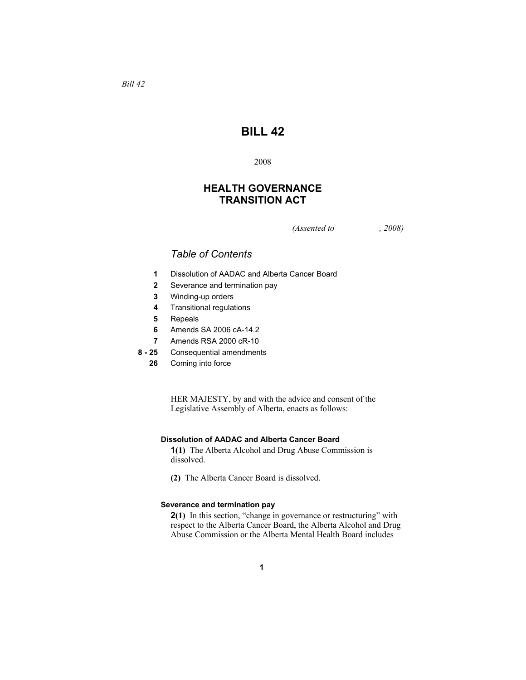# **BILL 42**

# 2008

# **HEALTH GOVERNANCE TRANSITION ACT**

*(Assented to , 2008)* 

# *Table of Contents*

- **1** Dissolution of AADAC and Alberta Cancer Board
- **2** Severance and termination pay
- **3** Winding-up orders
- **4** Transitional regulations
- **5** Repeals
- **6** Amends SA 2006 cA-14.2
- **7** Amends RSA 2000 cR-10
- **8 25** Consequential amendments
	- **26** Coming into force

HER MAJESTY, by and with the advice and consent of the Legislative Assembly of Alberta, enacts as follows:

# **Dissolution of AADAC and Alberta Cancer Board**

**1(1)** The Alberta Alcohol and Drug Abuse Commission is dissolved.

**(2)** The Alberta Cancer Board is dissolved.

# **Severance and termination pay**

**2(1)** In this section, "change in governance or restructuring" with respect to the Alberta Cancer Board, the Alberta Alcohol and Drug Abuse Commission or the Alberta Mental Health Board includes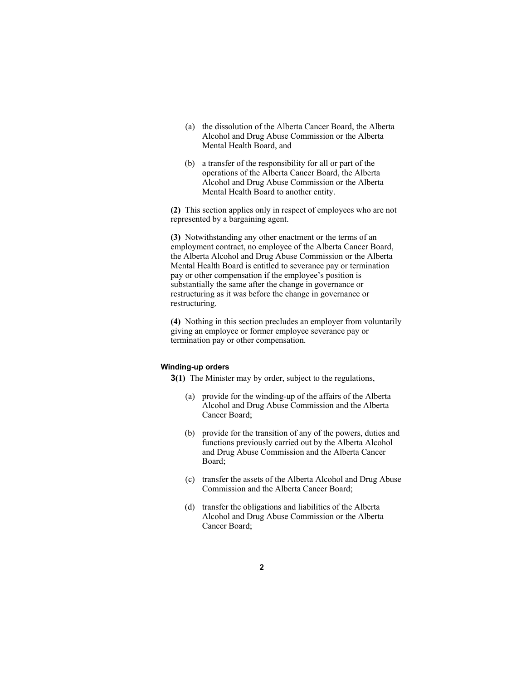- (a) the dissolution of the Alberta Cancer Board, the Alberta Alcohol and Drug Abuse Commission or the Alberta Mental Health Board, and
- (b) a transfer of the responsibility for all or part of the operations of the Alberta Cancer Board, the Alberta Alcohol and Drug Abuse Commission or the Alberta Mental Health Board to another entity.

**(2)** This section applies only in respect of employees who are not represented by a bargaining agent.

**(3)** Notwithstanding any other enactment or the terms of an employment contract, no employee of the Alberta Cancer Board, the Alberta Alcohol and Drug Abuse Commission or the Alberta Mental Health Board is entitled to severance pay or termination pay or other compensation if the employee's position is substantially the same after the change in governance or restructuring as it was before the change in governance or restructuring.

**(4)** Nothing in this section precludes an employer from voluntarily giving an employee or former employee severance pay or termination pay or other compensation.

#### **Winding-up orders**

**3(1)** The Minister may by order, subject to the regulations,

- (a) provide for the winding-up of the affairs of the Alberta Alcohol and Drug Abuse Commission and the Alberta Cancer Board;
- (b) provide for the transition of any of the powers, duties and functions previously carried out by the Alberta Alcohol and Drug Abuse Commission and the Alberta Cancer Board;
- (c) transfer the assets of the Alberta Alcohol and Drug Abuse Commission and the Alberta Cancer Board;
- (d) transfer the obligations and liabilities of the Alberta Alcohol and Drug Abuse Commission or the Alberta Cancer Board;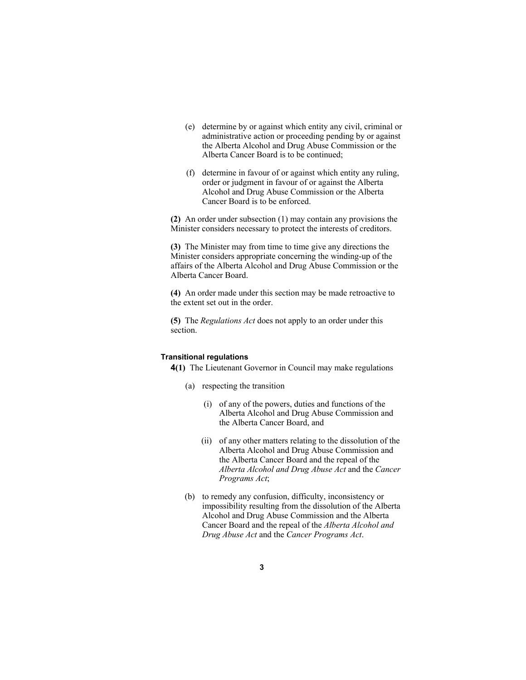- (e) determine by or against which entity any civil, criminal or administrative action or proceeding pending by or against the Alberta Alcohol and Drug Abuse Commission or the Alberta Cancer Board is to be continued;
- (f) determine in favour of or against which entity any ruling, order or judgment in favour of or against the Alberta Alcohol and Drug Abuse Commission or the Alberta Cancer Board is to be enforced.

**(2)** An order under subsection (1) may contain any provisions the Minister considers necessary to protect the interests of creditors.

**(3)** The Minister may from time to time give any directions the Minister considers appropriate concerning the winding-up of the affairs of the Alberta Alcohol and Drug Abuse Commission or the Alberta Cancer Board.

**(4)** An order made under this section may be made retroactive to the extent set out in the order.

**(5)** The *Regulations Act* does not apply to an order under this section.

#### **Transitional regulations**

**4(1)** The Lieutenant Governor in Council may make regulations

- (a) respecting the transition
	- (i) of any of the powers, duties and functions of the Alberta Alcohol and Drug Abuse Commission and the Alberta Cancer Board, and
	- (ii) of any other matters relating to the dissolution of the Alberta Alcohol and Drug Abuse Commission and the Alberta Cancer Board and the repeal of the *Alberta Alcohol and Drug Abuse Act* and the *Cancer Programs Act*;
- (b) to remedy any confusion, difficulty, inconsistency or impossibility resulting from the dissolution of the Alberta Alcohol and Drug Abuse Commission and the Alberta Cancer Board and the repeal of the *Alberta Alcohol and Drug Abuse Act* and the *Cancer Programs Act*.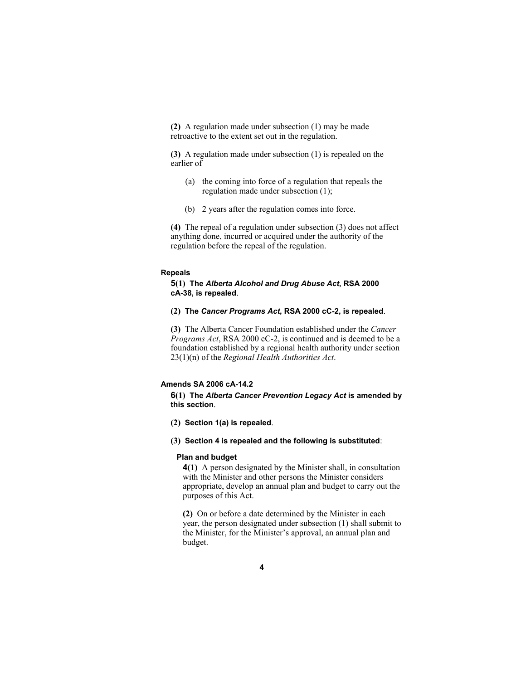**(2)** A regulation made under subsection (1) may be made retroactive to the extent set out in the regulation.

**(3)** A regulation made under subsection (1) is repealed on the earlier of

- (a) the coming into force of a regulation that repeals the regulation made under subsection (1);
- (b) 2 years after the regulation comes into force.

**(4)** The repeal of a regulation under subsection (3) does not affect anything done, incurred or acquired under the authority of the regulation before the repeal of the regulation.

#### **Repeals**

**5(1) The** *Alberta Alcohol and Drug Abuse Act***, RSA 2000 cA-38, is repealed**.

**(2) The** *Cancer Programs Act***, RSA 2000 cC-2, is repealed**.

**(3)** The Alberta Cancer Foundation established under the *Cancer Programs Act*, RSA 2000 cC-2, is continued and is deemed to be a foundation established by a regional health authority under section 23(1)(n) of the *Regional Health Authorities Act*.

#### **Amends SA 2006 cA-14.2**

**6(1) The** *Alberta Cancer Prevention Legacy Act* **is amended by this section**.

- **(2) Section 1(a) is repealed**.
- **(3) Section 4 is repealed and the following is substituted**:

#### **Plan and budget**

**4(1)** A person designated by the Minister shall, in consultation with the Minister and other persons the Minister considers appropriate, develop an annual plan and budget to carry out the purposes of this Act.

**(2)** On or before a date determined by the Minister in each year, the person designated under subsection (1) shall submit to the Minister, for the Minister's approval, an annual plan and budget.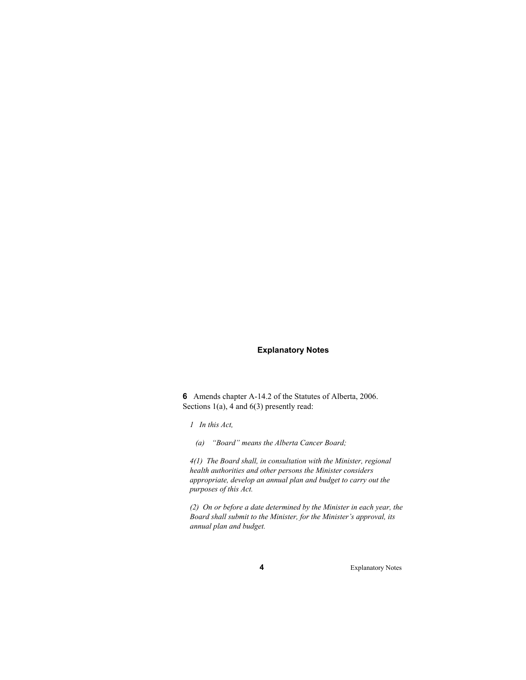# **Explanatory Notes**

**6** Amends chapter A-14.2 of the Statutes of Alberta, 2006. Sections 1(a), 4 and 6(3) presently read:

*1 In this Act,* 

 *(a) "Board" means the Alberta Cancer Board;* 

*4(1) The Board shall, in consultation with the Minister, regional health authorities and other persons the Minister considers appropriate, develop an annual plan and budget to carry out the purposes of this Act.* 

*(2) On or before a date determined by the Minister in each year, the Board shall submit to the Minister, for the Minister's approval, its annual plan and budget.*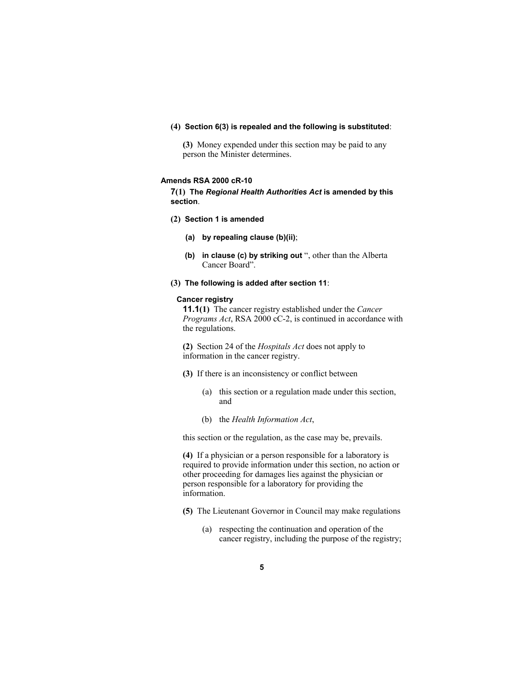#### **(4) Section 6(3) is repealed and the following is substituted**:

**(3)** Money expended under this section may be paid to any person the Minister determines.

#### **Amends RSA 2000 cR-10**

**7(1) The** *Regional Health Authorities Act* **is amended by this section**.

- **(2) Section 1 is amended**
	- **(a) by repealing clause (b)(ii)**;
	- **(b) in clause (c) by striking out** ", other than the Alberta Cancer Board".
- **(3) The following is added after section 11**:

#### **Cancer registry**

**11.1(1)** The cancer registry established under the *Cancer Programs Act*, RSA 2000 cC-2, is continued in accordance with the regulations.

**(2)** Section 24 of the *Hospitals Act* does not apply to information in the cancer registry.

- **(3)** If there is an inconsistency or conflict between
	- (a) this section or a regulation made under this section, and
	- (b) the *Health Information Act*,

this section or the regulation, as the case may be, prevails.

**(4)** If a physician or a person responsible for a laboratory is required to provide information under this section, no action or other proceeding for damages lies against the physician or person responsible for a laboratory for providing the information.

- **(5)** The Lieutenant Governor in Council may make regulations
	- (a) respecting the continuation and operation of the cancer registry, including the purpose of the registry;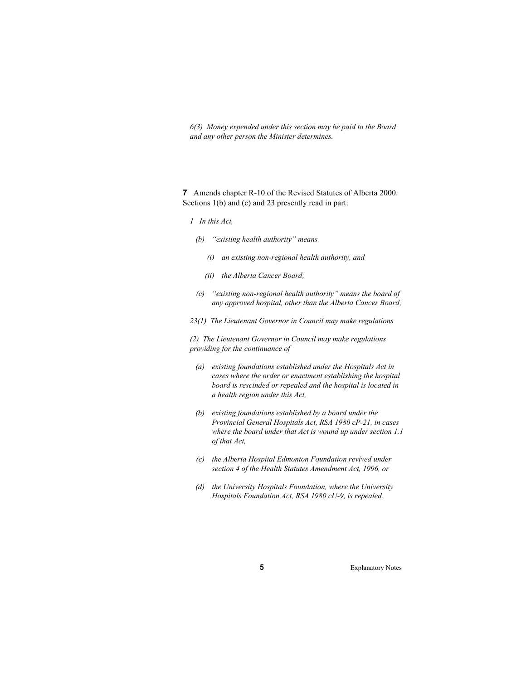*6(3) Money expended under this section may be paid to the Board and any other person the Minister determines.* 

**7** Amends chapter R-10 of the Revised Statutes of Alberta 2000. Sections 1(b) and (c) and 23 presently read in part:

- *1 In this Act,*
- *(b) "existing health authority" means* 
	- *(i) an existing non-regional health authority, and*
	- *(ii) the Alberta Cancer Board;*
- *(c) "existing non-regional health authority" means the board of any approved hospital, other than the Alberta Cancer Board;*
- *23(1) The Lieutenant Governor in Council may make regulations*

*(2) The Lieutenant Governor in Council may make regulations providing for the continuance of* 

- *(a) existing foundations established under the Hospitals Act in cases where the order or enactment establishing the hospital board is rescinded or repealed and the hospital is located in a health region under this Act,*
- *(b) existing foundations established by a board under the Provincial General Hospitals Act, RSA 1980 cP-21, in cases where the board under that Act is wound up under section 1.1 of that Act,*
- *(c) the Alberta Hospital Edmonton Foundation revived under section 4 of the Health Statutes Amendment Act, 1996, or*
- *(d) the University Hospitals Foundation, where the University Hospitals Foundation Act, RSA 1980 cU-9, is repealed.*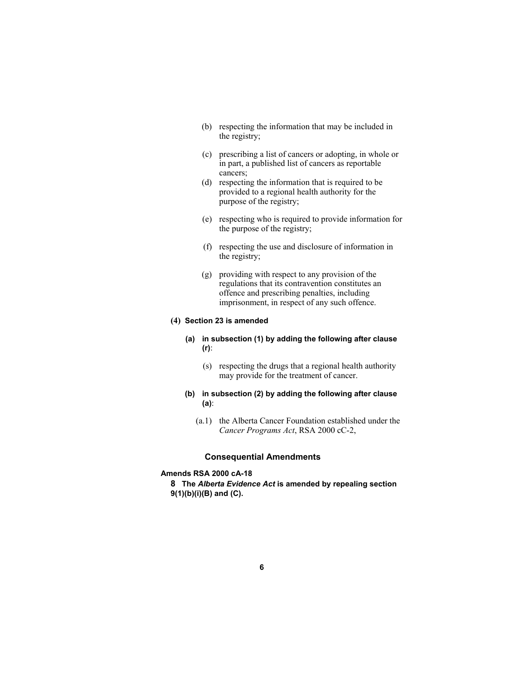- (b) respecting the information that may be included in the registry;
- (c) prescribing a list of cancers or adopting, in whole or in part, a published list of cancers as reportable cancers;
- (d) respecting the information that is required to be provided to a regional health authority for the purpose of the registry;
- (e) respecting who is required to provide information for the purpose of the registry;
- (f) respecting the use and disclosure of information in the registry;
- (g) providing with respect to any provision of the regulations that its contravention constitutes an offence and prescribing penalties, including imprisonment, in respect of any such offence.

#### **(4) Section 23 is amended**

- **(a) in subsection (1) by adding the following after clause (r)**:
	- (s) respecting the drugs that a regional health authority may provide for the treatment of cancer.

# **(b) in subsection (2) by adding the following after clause (a)**:

(a.1) the Alberta Cancer Foundation established under the *Cancer Programs Act*, RSA 2000 cC-2,

### **Consequential Amendments**

#### **Amends RSA 2000 cA-18**

**8 The** *Alberta Evidence Act* **is amended by repealing section 9(1)(b)(i)(B) and (C).**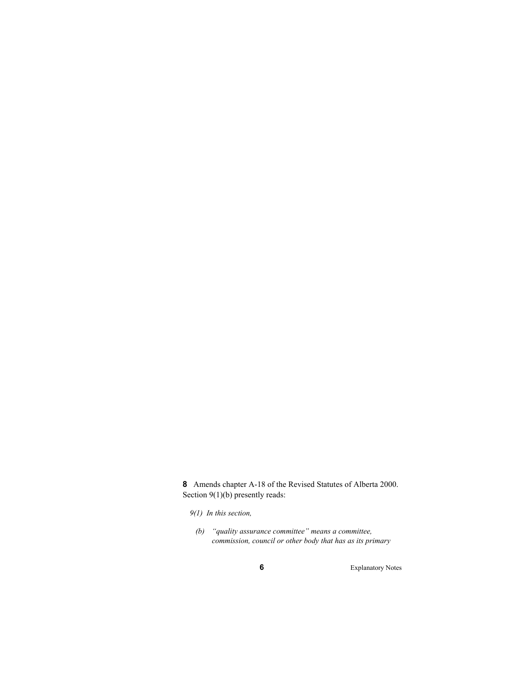**8** Amends chapter A-18 of the Revised Statutes of Alberta 2000. Section 9(1)(b) presently reads:

*9(1) In this section,* 

 *(b) "quality assurance committee" means a committee, commission, council or other body that has as its primary*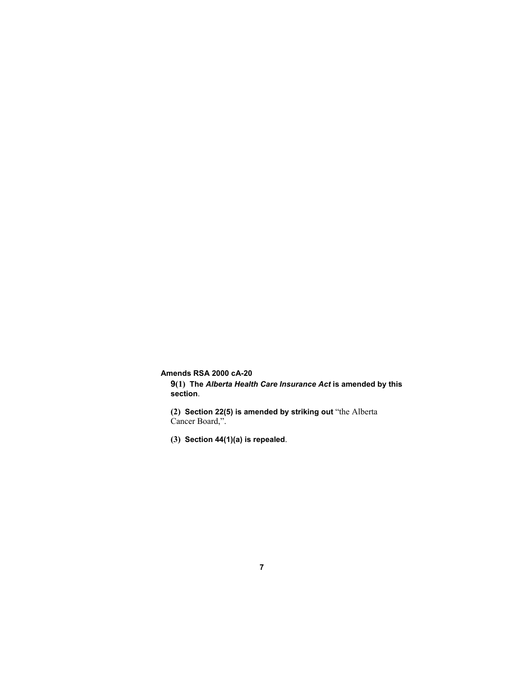**Amends RSA 2000 cA-20** 

**9(1) The** *Alberta Health Care Insurance Act* **is amended by this section**.

**(2) Section 22(5) is amended by striking out** "the Alberta Cancer Board,".

**(3) Section 44(1)(a) is repealed**.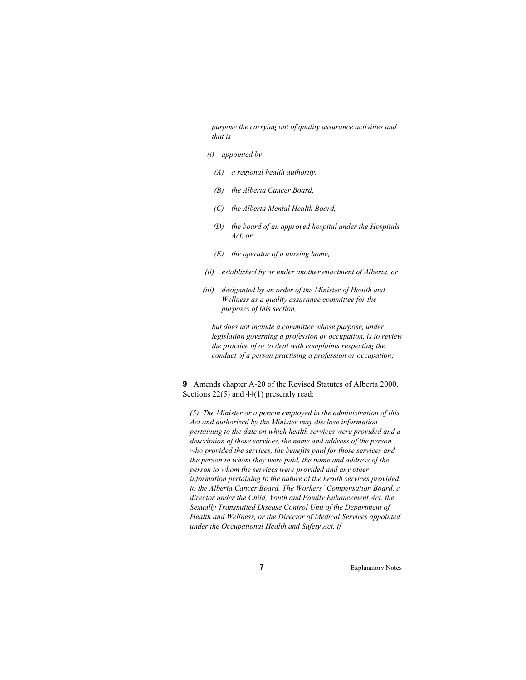*purpose the carrying out of quality assurance activities and that is* 

- *(i) appointed by* 
	- *(A) a regional health authority,*
	- *(B) the Alberta Cancer Board,*
	- *(C) the Alberta Mental Health Board,*
	- *(D) the board of an approved hospital under the Hospitals Act, or*
	- *(E) the operator of a nursing home,*
- *(ii) established by or under another enactment of Alberta, or*
- *(iii) designated by an order of the Minister of Health and Wellness as a quality assurance committee for the purposes of this section,*

 *but does not include a committee whose purpose, under legislation governing a profession or occupation, is to review the practice of or to deal with complaints respecting the conduct of a person practising a profession or occupation;* 

**9** Amends chapter A-20 of the Revised Statutes of Alberta 2000. Sections 22(5) and 44(1) presently read:

*(5) The Minister or a person employed in the administration of this Act and authorized by the Minister may disclose information pertaining to the date on which health services were provided and a description of those services, the name and address of the person who provided the services, the benefits paid for those services and the person to whom they were paid, the name and address of the person to whom the services were provided and any other information pertaining to the nature of the health services provided, to the Alberta Cancer Board, The Workers' Compensation Board, a director under the Child, Youth and Family Enhancement Act, the Sexually Transmitted Disease Control Unit of the Department of Health and Wellness, or the Director of Medical Services appointed under the Occupational Health and Safety Act, if*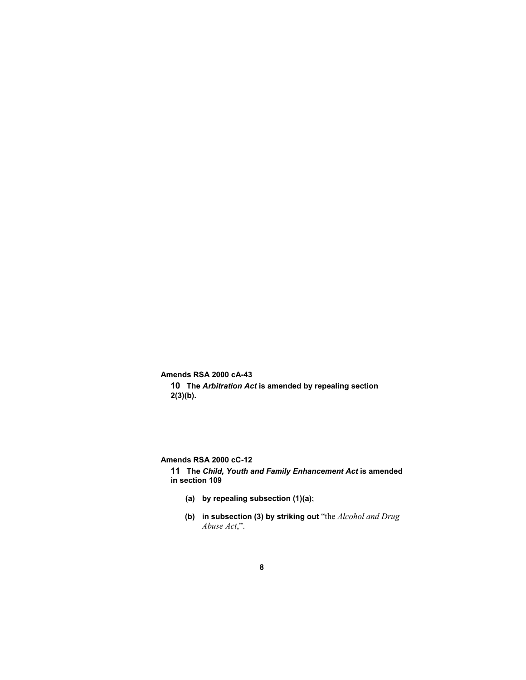**Amends RSA 2000 cA-43** 

**10 The** *Arbitration Act* **is amended by repealing section 2(3)(b).**

**Amends RSA 2000 cC-12** 

**11 The** *Child, Youth and Family Enhancement Act* **is amended in section 109**

- **(a) by repealing subsection (1)(a)**;
- **(b) in subsection (3) by striking out** "the *Alcohol and Drug Abuse Act*,".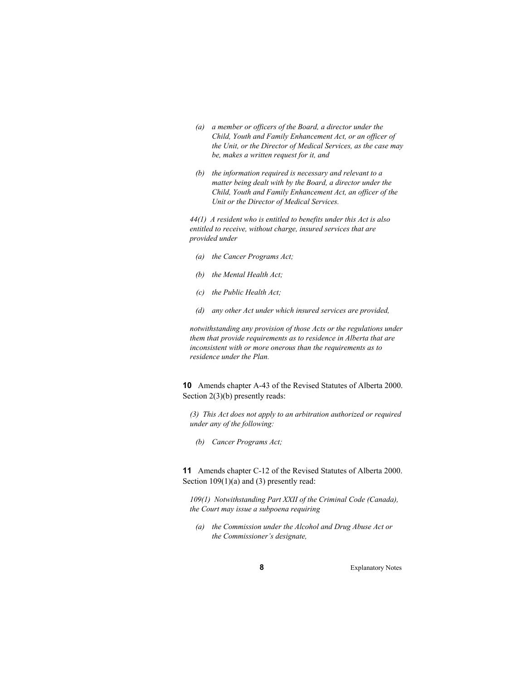- *(a) a member or officers of the Board, a director under the Child, Youth and Family Enhancement Act, or an officer of the Unit, or the Director of Medical Services, as the case may be, makes a written request for it, and*
- *(b) the information required is necessary and relevant to a matter being dealt with by the Board, a director under the Child, Youth and Family Enhancement Act, an officer of the Unit or the Director of Medical Services.*

*44(1) A resident who is entitled to benefits under this Act is also entitled to receive, without charge, insured services that are provided under* 

- *(a) the Cancer Programs Act;*
- *(b) the Mental Health Act;*
- *(c) the Public Health Act;*
- *(d) any other Act under which insured services are provided,*

*notwithstanding any provision of those Acts or the regulations under them that provide requirements as to residence in Alberta that are inconsistent with or more onerous than the requirements as to residence under the Plan.* 

**10** Amends chapter A-43 of the Revised Statutes of Alberta 2000. Section 2(3)(b) presently reads:

*(3) This Act does not apply to an arbitration authorized or required under any of the following:* 

 *(b) Cancer Programs Act;* 

**11** Amends chapter C-12 of the Revised Statutes of Alberta 2000. Section  $109(1)(a)$  and (3) presently read:

*109(1) Notwithstanding Part XXII of the Criminal Code (Canada), the Court may issue a subpoena requiring* 

 *(a) the Commission under the Alcohol and Drug Abuse Act or the Commissioner's designate,*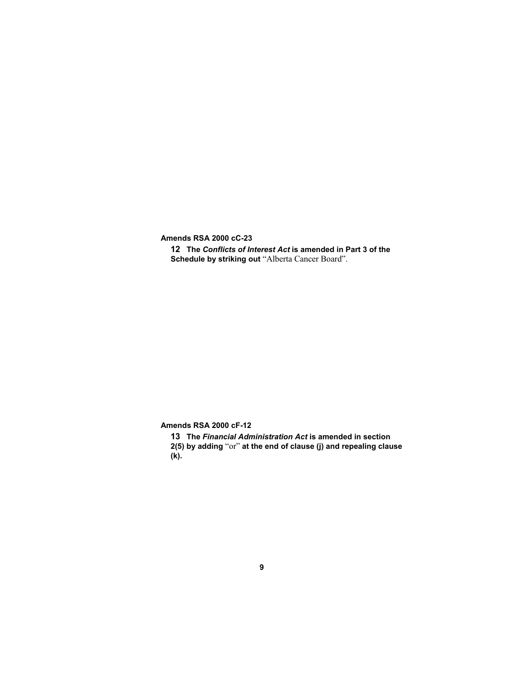**Amends RSA 2000 cC-23** 

**12 The** *Conflicts of Interest Act* **is amended in Part 3 of the Schedule by striking out** "Alberta Cancer Board".

**Amends RSA 2000 cF-12** 

**13 The** *Financial Administration Act* **is amended in section** 

**2(5) by adding** "or" **at the end of clause (j) and repealing clause (k).**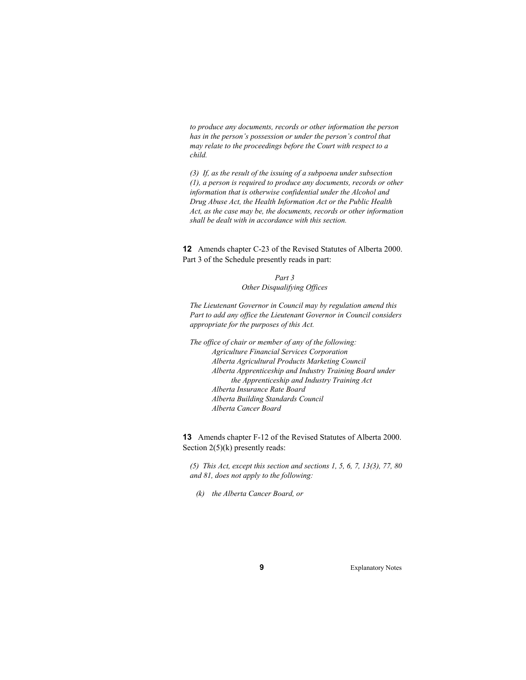*to produce any documents, records or other information the person has in the person's possession or under the person's control that may relate to the proceedings before the Court with respect to a child.* 

*(3) If, as the result of the issuing of a subpoena under subsection (1), a person is required to produce any documents, records or other information that is otherwise confidential under the Alcohol and Drug Abuse Act, the Health Information Act or the Public Health Act, as the case may be, the documents, records or other information shall be dealt with in accordance with this section.* 

**12** Amends chapter C-23 of the Revised Statutes of Alberta 2000. Part 3 of the Schedule presently reads in part:

> *Part 3 Other Disqualifying Offices*

*The Lieutenant Governor in Council may by regulation amend this Part to add any office the Lieutenant Governor in Council considers appropriate for the purposes of this Act.* 

*The office of chair or member of any of the following: Agriculture Financial Services Corporation Alberta Agricultural Products Marketing Council Alberta Apprenticeship and Industry Training Board under the Apprenticeship and Industry Training Act Alberta Insurance Rate Board Alberta Building Standards Council Alberta Cancer Board* 

**13** Amends chapter F-12 of the Revised Statutes of Alberta 2000. Section  $2(5)(k)$  presently reads:

*(5) This Act, except this section and sections 1, 5, 6, 7, 13(3), 77, 80 and 81, does not apply to the following:* 

 *(k) the Alberta Cancer Board, or*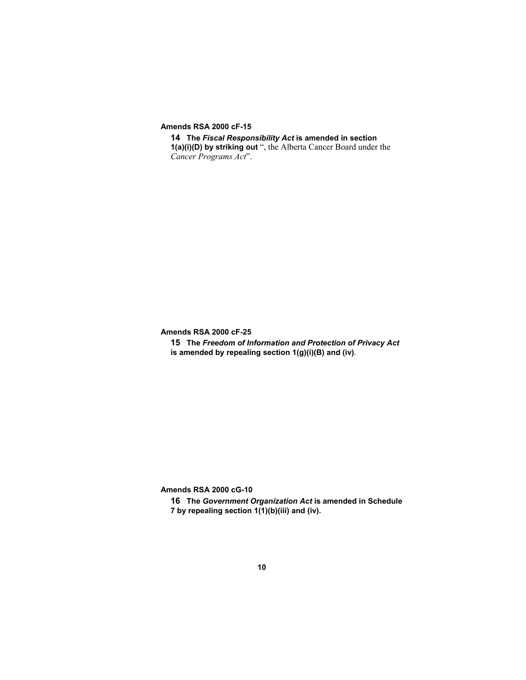**Amends RSA 2000 cF-15** 

**14 The** *Fiscal Responsibility Act* **is amended in section 1(a)(i)(D) by striking out** ", the Alberta Cancer Board under the *Cancer Programs Act*".

**Amends RSA 2000 cF-25** 

**15 The** *Freedom of Information and Protection of Privacy Act* **is amended by repealing section 1(g)(i)(B) and (iv)**.

**Amends RSA 2000 cG-10** 

**16 The** *Government Organization Act* **is amended in Schedule 7 by repealing section 1(1)(b)(iii) and (iv).**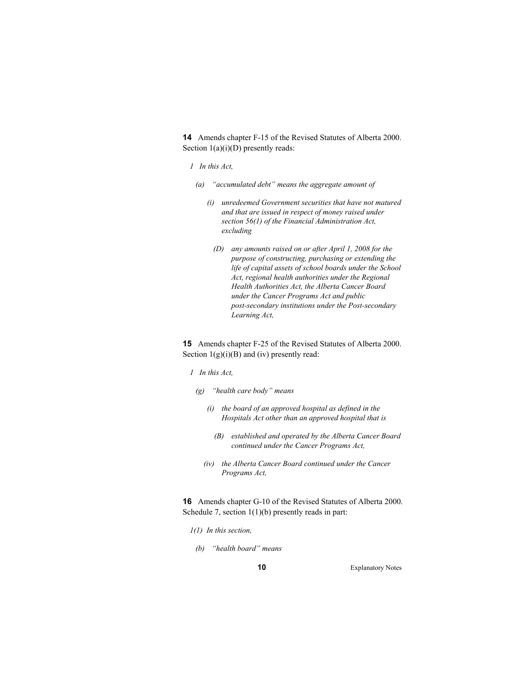**14** Amends chapter F-15 of the Revised Statutes of Alberta 2000. Section  $1(a)(i)(D)$  presently reads:

- *1 In this Act,*
- *(a) "accumulated debt" means the aggregate amount of* 
	- *(i) unredeemed Government securities that have not matured and that are issued in respect of money raised under section 56(1) of the Financial Administration Act, excluding* 
		- *(D) any amounts raised on or after April 1, 2008 for the purpose of constructing, purchasing or extending the life of capital assets of school boards under the School Act, regional health authorities under the Regional Health Authorities Act, the Alberta Cancer Board under the Cancer Programs Act and public post-secondary institutions under the Post-secondary Learning Act,*

**15** Amends chapter F-25 of the Revised Statutes of Alberta 2000. Section  $1(g)(i)(B)$  and  $(iv)$  presently read:

- *1 In this Act,*
- *(g) "health care body" means* 
	- *(i) the board of an approved hospital as defined in the Hospitals Act other than an approved hospital that is* 
		- *(B) established and operated by the Alberta Cancer Board continued under the Cancer Programs Act,*
	- *(iv) the Alberta Cancer Board continued under the Cancer Programs Act,*

**16** Amends chapter G-10 of the Revised Statutes of Alberta 2000. Schedule 7, section 1(1)(b) presently reads in part:

- *1(1) In this section,*
- *(b) "health board" means*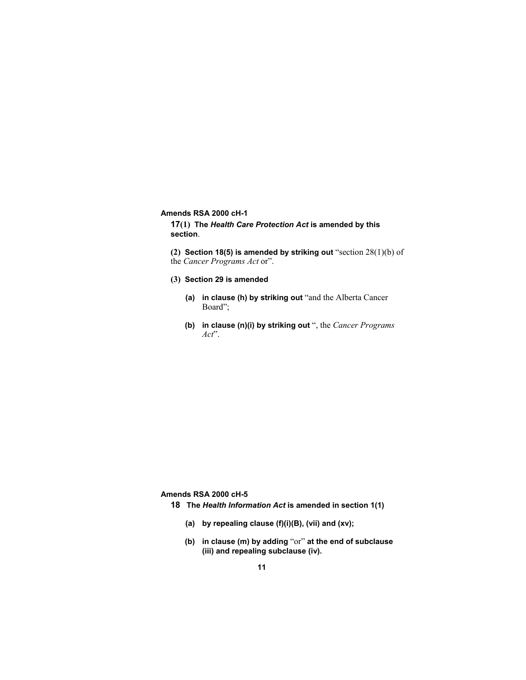#### **Amends RSA 2000 cH-1**

**17(1) The** *Health Care Protection Act* **is amended by this section**.

**(2) Section 18(5) is amended by striking out** "section 28(1)(b) of the *Cancer Programs Act* or".

#### **(3) Section 29 is amended**

- **(a) in clause (h) by striking out** "and the Alberta Cancer Board";
- **(b) in clause (n)(i) by striking out** ", the *Cancer Programs Act*".

**Amends RSA 2000 cH-5** 

- **18 The** *Health Information Act* **is amended in section 1(1)** 
	- **(a) by repealing clause (f)(i)(B), (vii) and (xv);**
	- **(b) in clause (m) by adding** "or" **at the end of subclause (iii) and repealing subclause (iv).**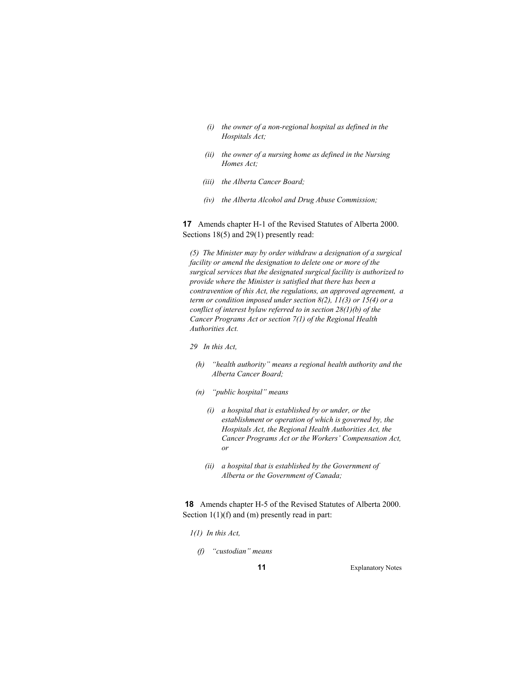- *(i) the owner of a non-regional hospital as defined in the Hospitals Act;*
- *(ii) the owner of a nursing home as defined in the Nursing Homes Act;*
- *(iii) the Alberta Cancer Board;*
- *(iv) the Alberta Alcohol and Drug Abuse Commission;*

**17** Amends chapter H-1 of the Revised Statutes of Alberta 2000. Sections 18(5) and 29(1) presently read:

*(5) The Minister may by order withdraw a designation of a surgical facility or amend the designation to delete one or more of the surgical services that the designated surgical facility is authorized to provide where the Minister is satisfied that there has been a contravention of this Act, the regulations, an approved agreement, a term or condition imposed under section 8(2), 11(3) or 15(4) or a conflict of interest bylaw referred to in section 28(1)(b) of the Cancer Programs Act or section 7(1) of the Regional Health Authorities Act.* 

- *29 In this Act,*
- *(h) "health authority" means a regional health authority and the Alberta Cancer Board;*
- *(n) "public hospital" means* 
	- *(i) a hospital that is established by or under, or the establishment or operation of which is governed by, the Hospitals Act, the Regional Health Authorities Act, the Cancer Programs Act or the Workers' Compensation Act, or*
	- *(ii) a hospital that is established by the Government of Alberta or the Government of Canada;*

**18** Amends chapter H-5 of the Revised Statutes of Alberta 2000. Section  $1(1)(f)$  and  $(m)$  presently read in part:

- *1(1) In this Act,* 
	- *(f) "custodian" means*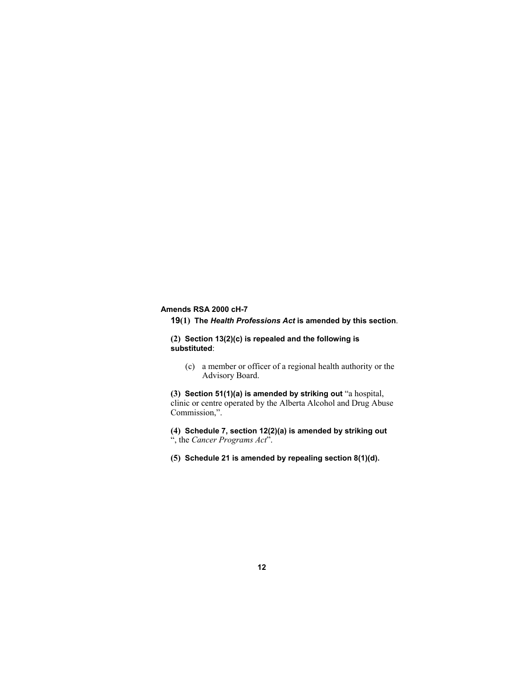# **Amends RSA 2000 cH-7**

**19(1) The** *Health Professions Act* **is amended by this section**.

**(2) Section 13(2)(c) is repealed and the following is substituted**:

(c) a member or officer of a regional health authority or the Advisory Board.

**(3) Section 51(1)(a) is amended by striking out** "a hospital, clinic or centre operated by the Alberta Alcohol and Drug Abuse Commission,".

**(4) Schedule 7, section 12(2)(a) is amended by striking out** ", the *Cancer Programs Act*".

**(5) Schedule 21 is amended by repealing section 8(1)(d).**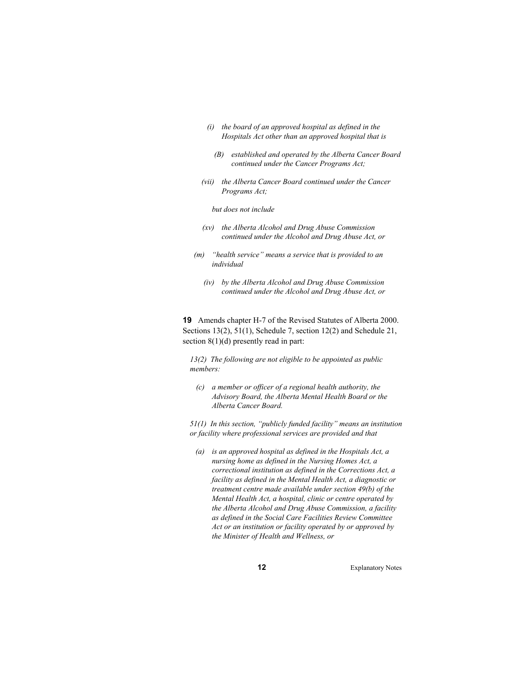- *(i) the board of an approved hospital as defined in the Hospitals Act other than an approved hospital that is* 
	- *(B) established and operated by the Alberta Cancer Board continued under the Cancer Programs Act;*
- *(vii) the Alberta Cancer Board continued under the Cancer Programs Act;*

 *but does not include* 

- *(xv) the Alberta Alcohol and Drug Abuse Commission continued under the Alcohol and Drug Abuse Act, or*
- *(m) "health service" means a service that is provided to an individual* 
	- *(iv) by the Alberta Alcohol and Drug Abuse Commission continued under the Alcohol and Drug Abuse Act, or*

**19** Amends chapter H-7 of the Revised Statutes of Alberta 2000. Sections 13(2), 51(1), Schedule 7, section 12(2) and Schedule 21, section 8(1)(d) presently read in part:

*13(2) The following are not eligible to be appointed as public members:* 

 *(c) a member or officer of a regional health authority, the Advisory Board, the Alberta Mental Health Board or the Alberta Cancer Board.* 

*51(1) In this section, "publicly funded facility" means an institution or facility where professional services are provided and that* 

 *(a) is an approved hospital as defined in the Hospitals Act, a nursing home as defined in the Nursing Homes Act, a correctional institution as defined in the Corrections Act, a facility as defined in the Mental Health Act, a diagnostic or treatment centre made available under section 49(b) of the Mental Health Act, a hospital, clinic or centre operated by the Alberta Alcohol and Drug Abuse Commission, a facility as defined in the Social Care Facilities Review Committee Act or an institution or facility operated by or approved by the Minister of Health and Wellness, or*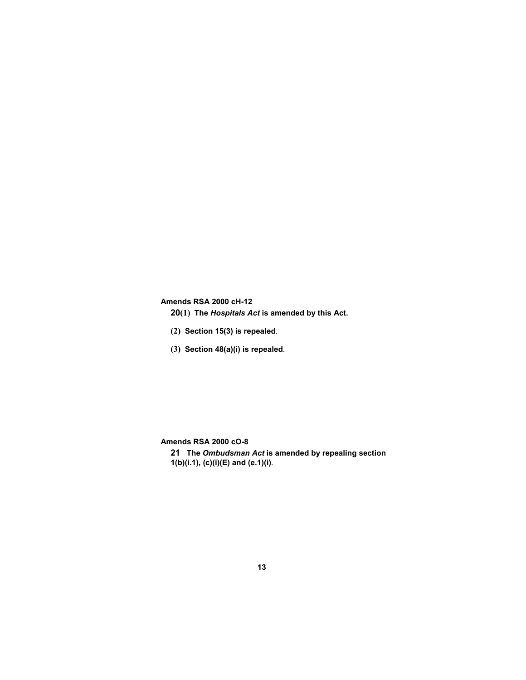# **Amends RSA 2000 cH-12**

- **20(1) The** *Hospitals Act* **is amended by this Act.**
- **(2) Section 15(3) is repealed**.
- **(3) Section 48(a)(i) is repealed**.

**Amends RSA 2000 cO-8** 

**21 The** *Ombudsman Act* **is amended by repealing section 1(b)(i.1), (c)(i)(E) and (e.1)(i)**.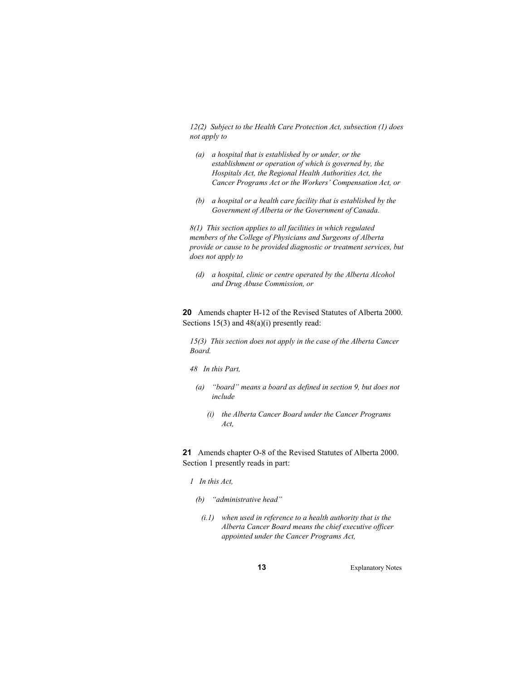*12(2) Subject to the Health Care Protection Act, subsection (1) does not apply to* 

- *(a) a hospital that is established by or under, or the establishment or operation of which is governed by, the Hospitals Act, the Regional Health Authorities Act, the Cancer Programs Act or the Workers' Compensation Act, or*
- *(b) a hospital or a health care facility that is established by the Government of Alberta or the Government of Canada.*

*8(1) This section applies to all facilities in which regulated members of the College of Physicians and Surgeons of Alberta provide or cause to be provided diagnostic or treatment services, but does not apply to* 

 *(d) a hospital, clinic or centre operated by the Alberta Alcohol and Drug Abuse Commission, or* 

**20** Amends chapter H-12 of the Revised Statutes of Alberta 2000. Sections 15(3) and 48(a)(i) presently read:

*15(3) This section does not apply in the case of the Alberta Cancer Board.* 

*48 In this Part,* 

- *(a) "board" means a board as defined in section 9, but does not include* 
	- *(i) the Alberta Cancer Board under the Cancer Programs Act,*

**21** Amends chapter O-8 of the Revised Statutes of Alberta 2000. Section 1 presently reads in part:

- *1 In this Act,*
- *(b) "administrative head"* 
	- *(i.1) when used in reference to a health authority that is the Alberta Cancer Board means the chief executive officer appointed under the Cancer Programs Act,*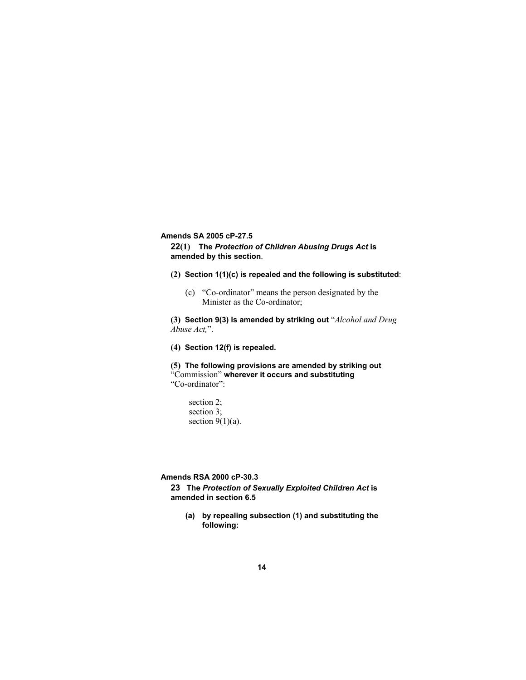**Amends SA 2005 cP-27.5** 

**22(1) The** *Protection of Children Abusing Drugs Act* **is amended by this section**.

- **(2) Section 1(1)(c) is repealed and the following is substituted**:
	- (c) "Co-ordinator" means the person designated by the Minister as the Co-ordinator;

**(3) Section 9(3) is amended by striking out** "*Alcohol and Drug Abuse Act,*".

**(4) Section 12(f) is repealed.** 

**(5) The following provisions are amended by striking out** "Commission" **wherever it occurs and substituting** "Co-ordinator":

section 2; section 3; section  $9(1)(a)$ .

**Amends RSA 2000 cP-30.3** 

**23 The** *Protection of Sexually Exploited Children Act* **is amended in section 6.5** 

**(a) by repealing subsection (1) and substituting the following:**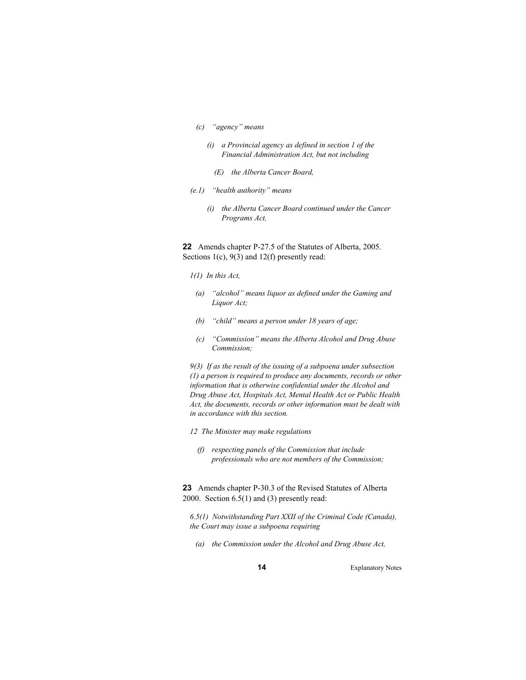- *(c) "agency" means* 
	- *(i) a Provincial agency as defined in section 1 of the Financial Administration Act, but not including* 
		- *(E) the Alberta Cancer Board,*
- *(e.1) "health authority" means* 
	- *(i) the Alberta Cancer Board continued under the Cancer Programs Act,*

**22** Amends chapter P-27.5 of the Statutes of Alberta, 2005. Sections 1(c), 9(3) and 12(f) presently read:

- *1(1) In this Act,*
- *(a) "alcohol" means liquor as defined under the Gaming and Liquor Act;*
- *(b) "child" means a person under 18 years of age;*
- *(c) "Commission" means the Alberta Alcohol and Drug Abuse Commission;*

*9(3) If as the result of the issuing of a subpoena under subsection (1) a person is required to produce any documents, records or other information that is otherwise confidential under the Alcohol and Drug Abuse Act, Hospitals Act, Mental Health Act or Public Health Act, the documents, records or other information must be dealt with in accordance with this section.* 

- *12 The Minister may make regulations* 
	- *(f) respecting panels of the Commission that include professionals who are not members of the Commission;*

**23** Amends chapter P-30.3 of the Revised Statutes of Alberta 2000. Section 6.5(1) and (3) presently read:

*6.5(1) Notwithstanding Part XXII of the Criminal Code (Canada), the Court may issue a subpoena requiring* 

 *(a) the Commission under the Alcohol and Drug Abuse Act,*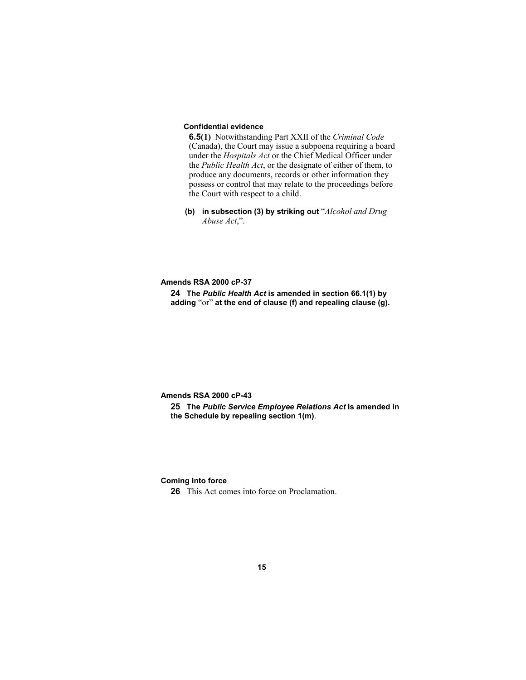# **Confidential evidence**

**6.5(1)** Notwithstanding Part XXII of the *Criminal Code* (Canada), the Court may issue a subpoena requiring a board under the *Hospitals Act* or the Chief Medical Officer under the *Public Health Act*, or the designate of either of them, to produce any documents, records or other information they possess or control that may relate to the proceedings before the Court with respect to a child.

**(b) in subsection (3) by striking out** "*Alcohol and Drug Abuse Act*,".

**Amends RSA 2000 cP-37** 

**24 The** *Public Health Act* **is amended in section 66.1(1) by adding** "or" **at the end of clause (f) and repealing clause (g).**

**Amends RSA 2000 cP-43** 

**25 The** *Public Service Employee Relations Act* **is amended in the Schedule by repealing section 1(m)**.

**Coming into force** 

**26** This Act comes into force on Proclamation.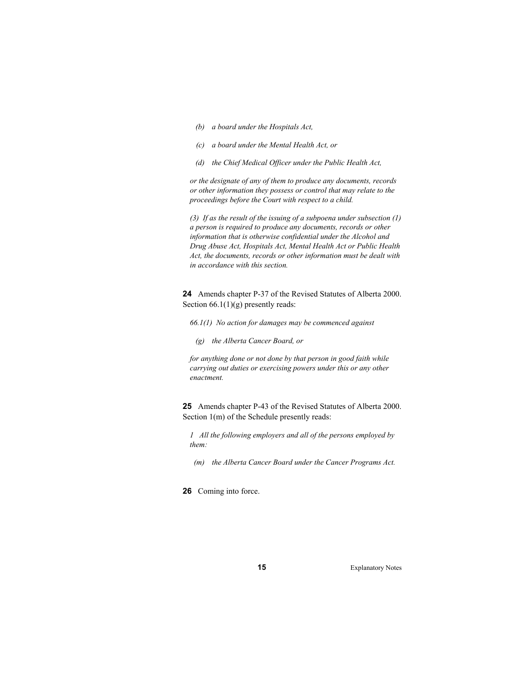- *(b) a board under the Hospitals Act,*
- *(c) a board under the Mental Health Act, or*
- *(d) the Chief Medical Officer under the Public Health Act,*

*or the designate of any of them to produce any documents, records or other information they possess or control that may relate to the proceedings before the Court with respect to a child.* 

*(3) If as the result of the issuing of a subpoena under subsection (1) a person is required to produce any documents, records or other information that is otherwise confidential under the Alcohol and Drug Abuse Act, Hospitals Act, Mental Health Act or Public Health Act, the documents, records or other information must be dealt with in accordance with this section.* 

**24** Amends chapter P-37 of the Revised Statutes of Alberta 2000. Section 66.1(1)(g) presently reads:

*66.1(1) No action for damages may be commenced against* 

 *(g) the Alberta Cancer Board, or* 

*for anything done or not done by that person in good faith while carrying out duties or exercising powers under this or any other enactment.* 

**25** Amends chapter P-43 of the Revised Statutes of Alberta 2000. Section 1(m) of the Schedule presently reads:

*1 All the following employers and all of the persons employed by them:* 

- *(m) the Alberta Cancer Board under the Cancer Programs Act.*
- **26** Coming into force.